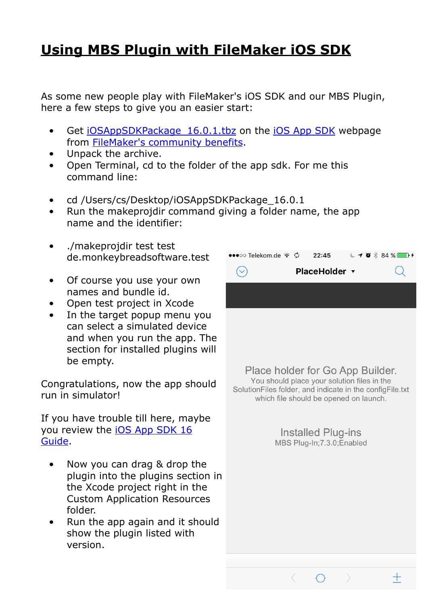## **[Using MBS Plugin with FileMaker iOS SDK](https://www.mbsplugins.de/archive/2017-06-22/Using_MBS_Plugin_with_FileMake)**

As some new people play with FileMaker's iOS SDK and our MBS Plugin, here a few steps to give you an easier start:

- Get iOSAppSDKPackage 16.0.1.tbz on the [iOS App SDK](https://community.filemaker.com/docs/DOC-6672) webpage from [FileMaker's community benefits.](https://community.filemaker.com/apps/technet)
- Unpack the archive.
- Open Terminal, cd to the folder of the app sdk. For me this command line:
- cd /Users/cs/Desktop/iOSAppSDKPackage\_16.0.1
- Run the makeprojdir command giving a folder name, the app name and the identifier:
- ./makeprojdir test test de.monkeybreadsoftware.test
- Of course you use your own names and bundle id.
- Open test project in Xcode
- In the target popup menu you can select a simulated device and when you run the app. The section for installed plugins will be empty.

Congratulations, now the app should run in simulator!

If you have trouble till here, maybe you review the **iOS App SDK 16** [Guide](https://fmhelp.filemaker.com/docs/16/en/appsdk/).

- Now you can drag & drop the plugin into the plugins section in the Xcode project right in the Custom Application Resources folder.
- Run the app again and it should show the plugin listed with version.